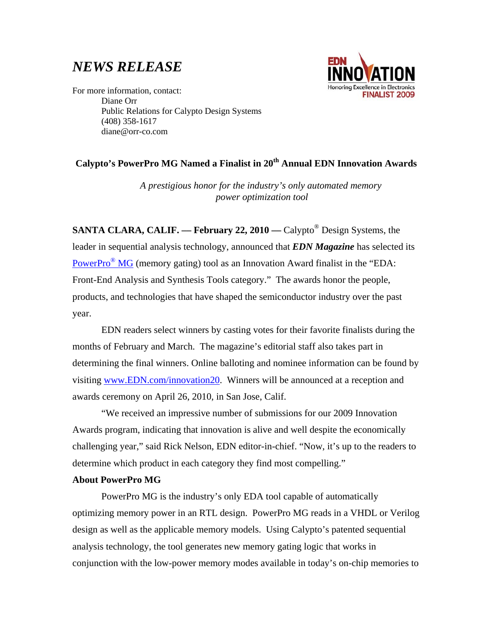# *NEWS RELEASE*



For more information, contact: Diane Orr Public Relations for Calypto Design Systems (408) 358-1617 diane@orr-co.com

## **Calypto's PowerPro MG Named a Finalist in 20th Annual EDN Innovation Awards**

*A prestigious honor for the industry's only automated memory power optimization tool* 

**SANTA CLARA, CALIF. — February 22, 2010 —** Calypto<sup>®</sup> Design Systems, the leader in sequential analysis technology, announced that *EDN Magazine* has selected its PowerPro<sup>®</sup> MG (memory gating) tool as an Innovation Award finalist in the "EDA: Front-End Analysis and Synthesis Tools category." The awards honor the people, products, and technologies that have shaped the semiconductor industry over the past year.

EDN readers select winners by casting votes for their favorite finalists during the months of February and March. The magazine's editorial staff also takes part in determining the final winners. Online balloting and nominee information can be found by visiting www.EDN.com/innovation20. Winners will be announced at a reception and awards ceremony on April 26, 2010, in San Jose, Calif.

 "We received an impressive number of submissions for our 2009 Innovation Awards program, indicating that innovation is alive and well despite the economically challenging year," said Rick Nelson, EDN editor-in-chief. "Now, it's up to the readers to determine which product in each category they find most compelling."

## **About PowerPro MG**

PowerPro MG is the industry's only EDA tool capable of automatically optimizing memory power in an RTL design. PowerPro MG reads in a VHDL or Verilog design as well as the applicable memory models. Using Calypto's patented sequential analysis technology, the tool generates new memory gating logic that works in conjunction with the low-power memory modes available in today's on-chip memories to